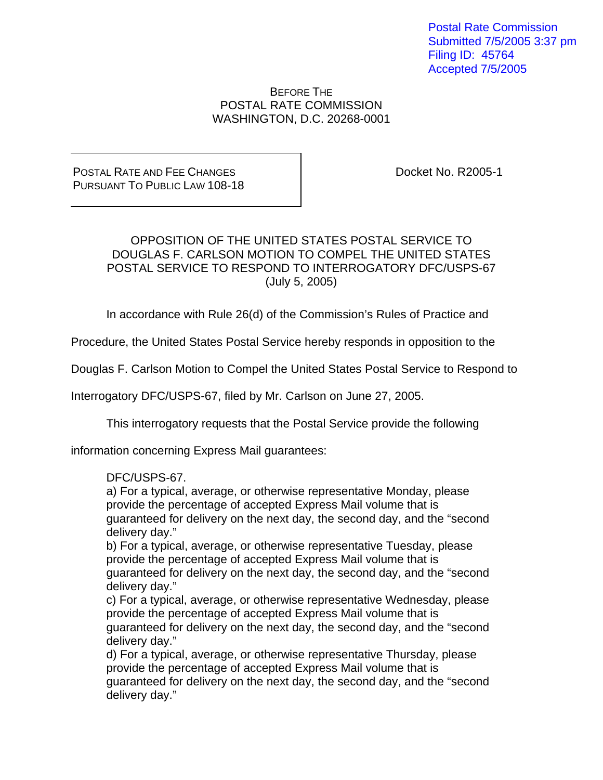Postal Rate Commission Submitted 7/5/2005 3:37 pm Filing ID: 45764 Accepted 7/5/2005

BEFORE THE POSTAL RATE COMMISSION WASHINGTON, D.C. 20268-0001

POSTAL RATE AND FEE CHANGES PURSUANT TO PUBLIC LAW 108-18 Docket No. R2005-1

## OPPOSITION OF THE UNITED STATES POSTAL SERVICE TO DOUGLAS F. CARLSON MOTION TO COMPEL THE UNITED STATES POSTAL SERVICE TO RESPOND TO INTERROGATORY DFC/USPS-67 (July 5, 2005)

In accordance with Rule 26(d) of the Commission's Rules of Practice and

Procedure, the United States Postal Service hereby responds in opposition to the

Douglas F. Carlson Motion to Compel the United States Postal Service to Respond to

Interrogatory DFC/USPS-67, filed by Mr. Carlson on June 27, 2005.

This interrogatory requests that the Postal Service provide the following

information concerning Express Mail guarantees:

## DFC/USPS-67.

a) For a typical, average, or otherwise representative Monday, please provide the percentage of accepted Express Mail volume that is guaranteed for delivery on the next day, the second day, and the "second delivery day."

b) For a typical, average, or otherwise representative Tuesday, please provide the percentage of accepted Express Mail volume that is guaranteed for delivery on the next day, the second day, and the "second delivery day."

c) For a typical, average, or otherwise representative Wednesday, please provide the percentage of accepted Express Mail volume that is guaranteed for delivery on the next day, the second day, and the "second delivery day."

d) For a typical, average, or otherwise representative Thursday, please provide the percentage of accepted Express Mail volume that is guaranteed for delivery on the next day, the second day, and the "second delivery day."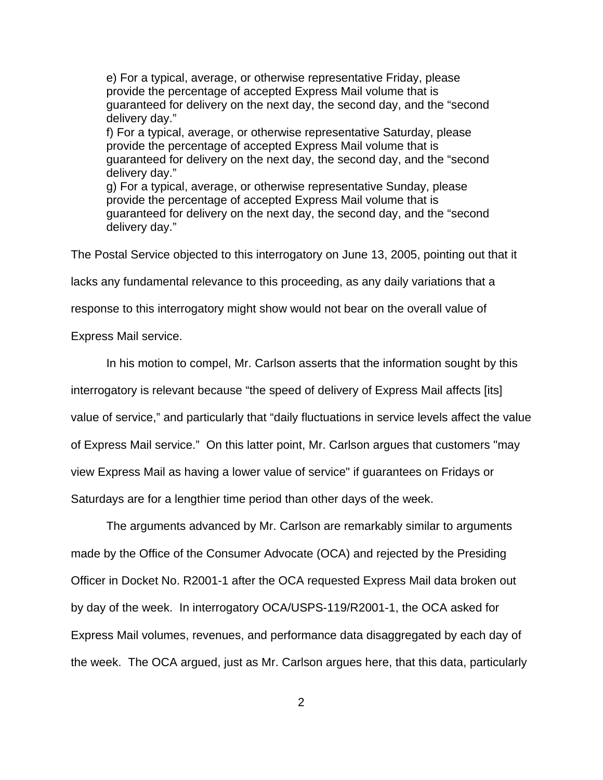e) For a typical, average, or otherwise representative Friday, please provide the percentage of accepted Express Mail volume that is guaranteed for delivery on the next day, the second day, and the "second delivery day." f) For a typical, average, or otherwise representative Saturday, please provide the percentage of accepted Express Mail volume that is guaranteed for delivery on the next day, the second day, and the "second delivery day." g) For a typical, average, or otherwise representative Sunday, please provide the percentage of accepted Express Mail volume that is guaranteed for delivery on the next day, the second day, and the "second delivery day."

The Postal Service objected to this interrogatory on June 13, 2005, pointing out that it

lacks any fundamental relevance to this proceeding, as any daily variations that a

response to this interrogatory might show would not bear on the overall value of

Express Mail service.

In his motion to compel, Mr. Carlson asserts that the information sought by this

interrogatory is relevant because "the speed of delivery of Express Mail affects [its]

value of service," and particularly that "daily fluctuations in service levels affect the value

of Express Mail service." On this latter point, Mr. Carlson argues that customers "may

view Express Mail as having a lower value of service" if guarantees on Fridays or

Saturdays are for a lengthier time period than other days of the week.

 The arguments advanced by Mr. Carlson are remarkably similar to arguments made by the Office of the Consumer Advocate (OCA) and rejected by the Presiding Officer in Docket No. R2001-1 after the OCA requested Express Mail data broken out by day of the week. In interrogatory OCA/USPS-119/R2001-1, the OCA asked for Express Mail volumes, revenues, and performance data disaggregated by each day of the week. The OCA argued, just as Mr. Carlson argues here, that this data, particularly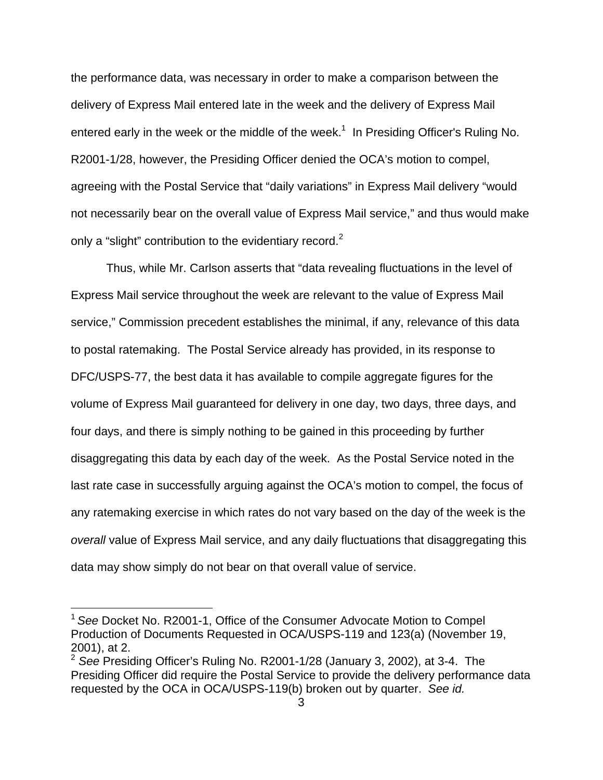the performance data, was necessary in order to make a comparison between the delivery of Express Mail entered late in the week and the delivery of Express Mail entered early in the week or the middle of the week.<sup>1</sup> In Presiding Officer's Ruling No. R2001-1/28, however, the Presiding Officer denied the OCA's motion to compel, agreeing with the Postal Service that "daily variations" in Express Mail delivery "would not necessarily bear on the overall value of Express Mail service," and thus would make only a "slight" contribution to the evidentiary record.<sup>2</sup>

Thus, while Mr. Carlson asserts that "data revealing fluctuations in the level of Express Mail service throughout the week are relevant to the value of Express Mail service," Commission precedent establishes the minimal, if any, relevance of this data to postal ratemaking. The Postal Service already has provided, in its response to DFC/USPS-77, the best data it has available to compile aggregate figures for the volume of Express Mail guaranteed for delivery in one day, two days, three days, and four days, and there is simply nothing to be gained in this proceeding by further disaggregating this data by each day of the week. As the Postal Service noted in the last rate case in successfully arguing against the OCA's motion to compel, the focus of any ratemaking exercise in which rates do not vary based on the day of the week is the *overall* value of Express Mail service, and any daily fluctuations that disaggregating this data may show simply do not bear on that overall value of service.

 $\overline{a}$ 

<sup>1</sup>*See* Docket No. R2001-1, Office of the Consumer Advocate Motion to Compel Production of Documents Requested in OCA/USPS-119 and 123(a) (November 19, 2001), at 2.

<sup>&</sup>lt;sup>2</sup> See Presiding Officer's Ruling No. R2001-1/28 (January 3, 2002), at 3-4. The Presiding Officer did require the Postal Service to provide the delivery performance data requested by the OCA in OCA/USPS-119(b) broken out by quarter. *See id.*